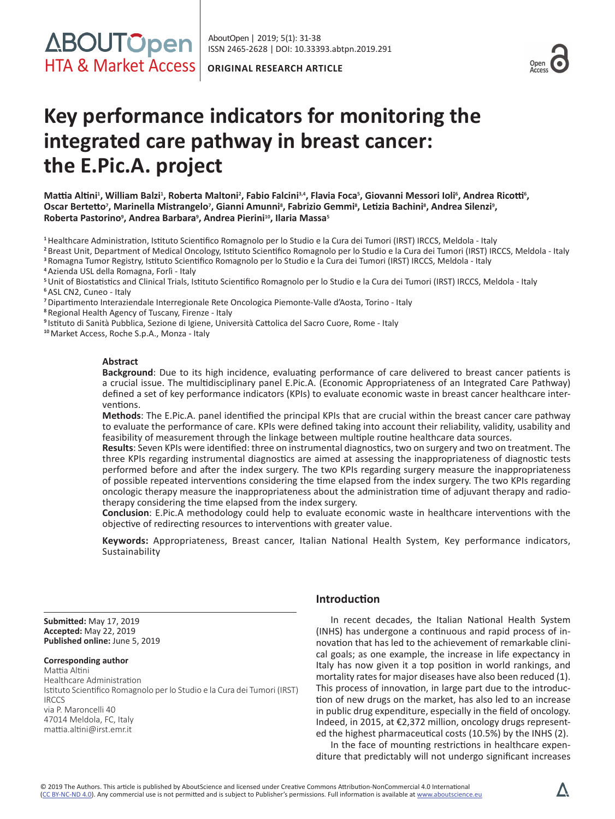ISSN 2465-2628 | DOI: 10.33393.abtpn.2019.291 AboutOpen | 2019; 5(1): 31-38



# **Key performance indicators for monitoring the integrated care pathway in breast cancer: the E.Pic.A. project**

Mattia Altini<sup>1</sup>, William Balzi<sup>1</sup>, Roberta Maltoni<sup>2</sup>, Fabio Falcini<sup>3,4</sup>, Flavia Foca<sup>s</sup>, Giovanni Messori Ioli<sup>6</sup>, Andrea Ricotti<sup>6</sup>, **Oscar Bertetto<sup>7</sup> , Marinella Mistrangelo<sup>7</sup> , Gianni Amunni8 , Fabrizio Gemmi<sup>8</sup> , Letizia Bachini<sup>8</sup> , Andrea Silenzi<sup>9</sup> , Roberta Pastorino9 , Andrea Barbara<sup>9</sup> , Andrea Pierini10, Ilaria Massa<sup>5</sup>**

**<sup>1</sup>**Healthcare Administration, Istituto Scientifico Romagnolo per lo Studio e la Cura dei Tumori (IRST) IRCCS, Meldola - Italy

**<sup>2</sup>**Breast Unit, Department of Medical Oncology, Istituto Scientifico Romagnolo per lo Studio e la Cura dei Tumori (IRST) IRCCS, Meldola - Italy **<sup>3</sup>**Romagna Tumor Registry, Istituto Scientifico Romagnolo per lo Studio e la Cura dei Tumori (IRST) IRCCS, Meldola - Italy

**<sup>4</sup>**Azienda USL della Romagna, Forlì - Italy

**<sup>5</sup>**Unit of Biostatistics and Clinical Trials, Istituto Scientifico Romagnolo per lo Studio e la Cura dei Tumori (IRST) IRCCS, Meldola - Italy **<sup>6</sup>**ASL CN2, Cuneo - Italy

**<sup>7</sup>**Dipartimento Interaziendale Interregionale Rete Oncologica Piemonte-Valle d'Aosta, Torino - Italy

**<sup>8</sup>**Regional Health Agency of Tuscany, Firenze - Italy

**<sup>9</sup>**Istituto di Sanità Pubblica, Sezione di Igiene, Università Cattolica del Sacro Cuore, Rome - Italy

**<sup>10</sup>**Market Access, Roche S.p.A., Monza - Italy

## **Abstract**

**Background**: Due to its high incidence, evaluating performance of care delivered to breast cancer patients is a crucial issue. The multidisciplinary panel E.Pic.A. (Economic Appropriateness of an Integrated Care Pathway) defined a set of key performance indicators (KPIs) to evaluate economic waste in breast cancer healthcare interventions.

**Methods**: The E.Pic.A. panel identified the principal KPIs that are crucial within the breast cancer care pathway to evaluate the performance of care. KPIs were defined taking into account their reliability, validity, usability and feasibility of measurement through the linkage between multiple routine healthcare data sources.

**Results**: Seven KPIs were identified: three on instrumental diagnostics, two on surgery and two on treatment. The three KPIs regarding instrumental diagnostics are aimed at assessing the inappropriateness of diagnostic tests performed before and after the index surgery. The two KPIs regarding surgery measure the inappropriateness of possible repeated interventions considering the time elapsed from the index surgery. The two KPIs regarding oncologic therapy measure the inappropriateness about the administration time of adjuvant therapy and radiotherapy considering the time elapsed from the index surgery.

**Conclusion**: E.Pic.A methodology could help to evaluate economic waste in healthcare interventions with the objective of redirecting resources to interventions with greater value.

**Keywords:** Appropriateness, Breast cancer, Italian National Health System, Key performance indicators, Sustainability

**Submitted:** May 17, 2019 **Accepted:** May 22, 2019 **Published online:** June 5, 2019

## **Corresponding author**

Mattia Altini Healthcare Administration Istituto Scientifico Romagnolo per lo Studio e la Cura dei Tumori (IRST) IRCCS via P. Maroncelli 40 47014 Meldola, FC, Italy mattia.altini@irst.emr.it

# **Introduction**

In recent decades, the Italian National Health System (INHS) has undergone a continuous and rapid process of innovation that has led to the achievement of remarkable clinical goals; as one example, the increase in life expectancy in Italy has now given it a top position in world rankings, and mortality rates for major diseases have also been reduced (1). This process of innovation, in large part due to the introduction of new drugs on the market, has also led to an increase in public drug expenditure, especially in the field of oncology. Indeed, in 2015, at €2,372 million, oncology drugs represented the highest pharmaceutical costs (10.5%) by the INHS (2).

In the face of mounting restrictions in healthcare expenditure that predictably will not undergo significant increases

 $\boldsymbol{\Delta}$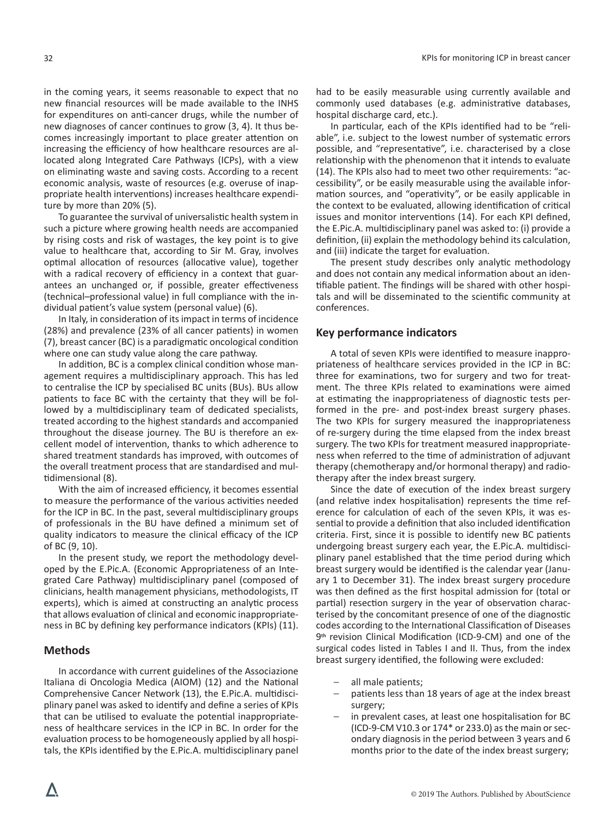in the coming years, it seems reasonable to expect that no new financial resources will be made available to the INHS for expenditures on anti-cancer drugs, while the number of new diagnoses of cancer continues to grow (3, 4). It thus becomes increasingly important to place greater attention on increasing the efficiency of how healthcare resources are allocated along Integrated Care Pathways (ICPs), with a view on eliminating waste and saving costs. According to a recent economic analysis, waste of resources (e.g. overuse of inappropriate health interventions) increases healthcare expenditure by more than 20% (5).

To guarantee the survival of universalistic health system in such a picture where growing health needs are accompanied by rising costs and risk of wastages, the key point is to give value to healthcare that, according to Sir M. Gray, involves optimal allocation of resources (allocative value), together with a radical recovery of efficiency in a context that guarantees an unchanged or, if possible, greater effectiveness (technical–professional value) in full compliance with the individual patient's value system (personal value) (6).

In Italy, in consideration of its impact in terms of incidence (28%) and prevalence (23% of all cancer patients) in women (7), breast cancer (BC) is a paradigmatic oncological condition where one can study value along the care pathway.

In addition, BC is a complex clinical condition whose management requires a multidisciplinary approach. This has led to centralise the ICP by specialised BC units (BUs). BUs allow patients to face BC with the certainty that they will be followed by a multidisciplinary team of dedicated specialists, treated according to the highest standards and accompanied throughout the disease journey. The BU is therefore an excellent model of intervention, thanks to which adherence to shared treatment standards has improved, with outcomes of the overall treatment process that are standardised and multidimensional (8).

With the aim of increased efficiency, it becomes essential to measure the performance of the various activities needed for the ICP in BC. In the past, several multidisciplinary groups of professionals in the BU have defined a minimum set of quality indicators to measure the clinical efficacy of the ICP of BC (9, 10).

In the present study, we report the methodology developed by the E.Pic.A. (Economic Appropriateness of an Integrated Care Pathway) multidisciplinary panel (composed of clinicians, health management physicians, methodologists, IT experts), which is aimed at constructing an analytic process that allows evaluation of clinical and economic inappropriateness in BC by defining key performance indicators (KPIs) (11).

# **Methods**

In accordance with current guidelines of the Associazione Italiana di Oncologia Medica (AIOM) (12) and the National Comprehensive Cancer Network (13), the E.Pic.A. multidisciplinary panel was asked to identify and define a series of KPIs that can be utilised to evaluate the potential inappropriateness of healthcare services in the ICP in BC. In order for the evaluation process to be homogeneously applied by all hospitals, the KPIs identified by the E.Pic.A. multidisciplinary panel

had to be easily measurable using currently available and commonly used databases (e.g. administrative databases, hospital discharge card, etc.).

In particular, each of the KPIs identified had to be "reliable", i.e. subject to the lowest number of systematic errors possible, and "representative", i.e. characterised by a close relationship with the phenomenon that it intends to evaluate (14). The KPIs also had to meet two other requirements: "accessibility", or be easily measurable using the available information sources, and "operativity", or be easily applicable in the context to be evaluated, allowing identification of critical issues and monitor interventions (14). For each KPI defined, the E.Pic.A. multidisciplinary panel was asked to: (i) provide a definition, (ii) explain the methodology behind its calculation, and (iii) indicate the target for evaluation.

The present study describes only analytic methodology and does not contain any medical information about an identifiable patient. The findings will be shared with other hospitals and will be disseminated to the scientific community at conferences.

## **Key performance indicators**

A total of seven KPIs were identified to measure inappropriateness of healthcare services provided in the ICP in BC: three for examinations, two for surgery and two for treatment. The three KPIs related to examinations were aimed at estimating the inappropriateness of diagnostic tests performed in the pre- and post-index breast surgery phases. The two KPIs for surgery measured the inappropriateness of re-surgery during the time elapsed from the index breast surgery. The two KPIs for treatment measured inappropriateness when referred to the time of administration of adjuvant therapy (chemotherapy and/or hormonal therapy) and radiotherapy after the index breast surgery.

Since the date of execution of the index breast surgery (and relative index hospitalisation) represents the time reference for calculation of each of the seven KPIs, it was essential to provide a definition that also included identification criteria. First, since it is possible to identify new BC patients undergoing breast surgery each year, the E.Pic.A. multidisciplinary panel established that the time period during which breast surgery would be identified is the calendar year (January 1 to December 31). The index breast surgery procedure was then defined as the first hospital admission for (total or partial) resection surgery in the year of observation characterised by the concomitant presence of one of the diagnostic codes according to the International Classification of Diseases 9**th** revision Clinical Modification (ICD-9-CM) and one of the surgical codes listed in Tables I and II. Thus, from the index breast surgery identified, the following were excluded:

- all male patients;
- patients less than 18 years of age at the index breast surgery;
- in prevalent cases, at least one hospitalisation for BC (ICD-9-CM V10.3 or 174\* or 233.0) as the main or secondary diagnosis in the period between 3 years and 6 months prior to the date of the index breast surgery;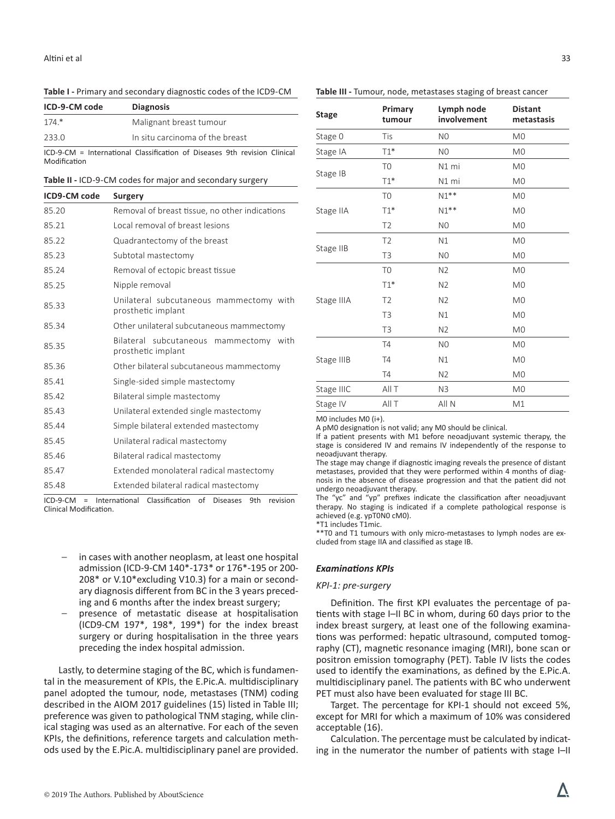## **Table I -** Primary and secondary diagnostic codes of the ICD9-CM

| ICD-9-CM code | <b>Diagnosis</b>                |
|---------------|---------------------------------|
| $174*$        | Malignant breast tumour         |
| 233.0         | In situ carcinoma of the breast |

ICD-9-CM = International Classification of Diseases 9th revision Clinical Modification

| Table II - ICD-9-CM codes for major and secondary surgery |  |  |
|-----------------------------------------------------------|--|--|
|-----------------------------------------------------------|--|--|

| ICD9-CM code | Surgery                                                       |  |
|--------------|---------------------------------------------------------------|--|
| 85.20        | Removal of breast tissue, no other indications                |  |
| 85.21        | Local removal of breast lesions                               |  |
| 85.22        | Quadrantectomy of the breast                                  |  |
| 85.23        | Subtotal mastectomy                                           |  |
| 85.24        | Removal of ectopic breast tissue                              |  |
| 85.25        | Nipple removal                                                |  |
| 85.33        | Unilateral subcutaneous mammectomy with<br>prosthetic implant |  |
| 85.34        | Other unilateral subcutaneous mammectomy                      |  |
| 85.35        | Bilateral subcutaneous mammectomy with<br>prosthetic implant  |  |
| 85.36        | Other bilateral subcutaneous mammectomy                       |  |
| 85.41        | Single-sided simple mastectomy                                |  |
| 85.42        | Bilateral simple mastectomy                                   |  |
| 85.43        | Unilateral extended single mastectomy                         |  |
| 85.44        | Simple bilateral extended mastectomy                          |  |
| 85.45        | Unilateral radical mastectomy                                 |  |
| 85.46        | Bilateral radical mastectomy                                  |  |
| 85.47        | Extended monolateral radical mastectomy                       |  |
| 85.48        | Extended bilateral radical mastectomy                         |  |

ICD-9-CM = International Classification of Diseases 9th revision Clinical Modification.

- in cases with another neoplasm, at least one hospital admission (ICD-9-CM 140\*-173\* or 176\*-195 or 200- 208\* or V.10\*excluding V10.3) for a main or secondary diagnosis different from BC in the 3 years preceding and 6 months after the index breast surgery;
- presence of metastatic disease at hospitalisation (ICD9-CM 197\*, 198\*, 199\*) for the index breast surgery or during hospitalisation in the three years preceding the index hospital admission.

Lastly, to determine staging of the BC, which is fundamental in the measurement of KPIs, the E.Pic.A. multidisciplinary panel adopted the tumour, node, metastases (TNM) coding described in the AIOM 2017 guidelines (15) listed in Table III; preference was given to pathological TNM staging, while clinical staging was used as an alternative. For each of the seven KPIs, the definitions, reference targets and calculation methods used by the E.Pic.A. multidisciplinary panel are provided.

| <b>Stage</b> | Primary<br>tumour | Lymph node<br>involvement | <b>Distant</b><br>metastasis |
|--------------|-------------------|---------------------------|------------------------------|
| Stage 0      | Tis               | N <sub>0</sub>            | M <sub>0</sub>               |
| Stage IA     | $T1*$             | N <sub>0</sub>            | M <sub>0</sub>               |
|              | T <sub>0</sub>    | N1 mi                     | M <sub>0</sub>               |
| Stage IB     | $T1*$             | N1 mi                     | M <sub>0</sub>               |
|              | T <sub>0</sub>    | $N1**$                    | M <sub>0</sub>               |
| Stage IIA    | $T1*$             | $N1**$                    | M <sub>0</sub>               |
|              | T <sub>2</sub>    | N <sub>0</sub>            | M <sub>0</sub>               |
|              | T <sub>2</sub>    | N1                        | M <sub>0</sub>               |
| Stage IIB    | T <sub>3</sub>    | N <sub>0</sub>            | M <sub>0</sub>               |
|              | T <sub>0</sub>    | N <sub>2</sub>            | M <sub>0</sub>               |
|              | $T1*$             | N <sub>2</sub>            | M <sub>0</sub>               |
| Stage IIIA   | T <sub>2</sub>    | N <sub>2</sub>            | M <sub>0</sub>               |
|              | T <sub>3</sub>    | N1                        | M <sub>0</sub>               |
|              | T <sub>3</sub>    | N <sub>2</sub>            | M <sub>0</sub>               |
|              | <b>T4</b>         | N <sub>0</sub>            | M <sub>0</sub>               |
| Stage IIIB   | T4                | N1                        | M <sub>0</sub>               |
|              | T4                | N2                        | M <sub>0</sub>               |
| Stage IIIC   | All T             | N <sub>3</sub>            | M <sub>0</sub>               |
| Stage IV     | All T             | All N                     | M1                           |

M0 includes M0 (i+).

A pM0 designation is not valid; any M0 should be clinical.

If a patient presents with M1 before neoadjuvant systemic therapy, the stage is considered IV and remains IV independently of the response to neoadjuvant therapy.

The stage may change if diagnostic imaging reveals the presence of distant metastases, provided that they were performed within 4 months of diagnosis in the absence of disease progression and that the patient did not undergo neoadjuvant therapy.

The "yc" and "yp" prefixes indicate the classification after neoadjuvant therapy. No staging is indicated if a complete pathological response is achieved (e.g. ypT0N0 cM0).

\*T1 includes T1mic.

\*\*T0 and T1 tumours with only micro-metastases to lymph nodes are excluded from stage IIA and classified as stage IB.

## *Examinations KPIs*

#### *KPI-1: pre-surgery*

Definition. The first KPI evaluates the percentage of patients with stage I–II BC in whom, during 60 days prior to the index breast surgery, at least one of the following examinations was performed: hepatic ultrasound, computed tomography (CT), magnetic resonance imaging (MRI), bone scan or positron emission tomography (PET). Table IV lists the codes used to identify the examinations, as defined by the E.Pic.A. multidisciplinary panel. The patients with BC who underwent PET must also have been evaluated for stage III BC.

Target. The percentage for KPI-1 should not exceed 5%, except for MRI for which a maximum of 10% was considered acceptable (16).

Calculation. The percentage must be calculated by indicating in the numerator the number of patients with stage I–II

## **Table III -** Tumour, node, metastases staging of breast cancer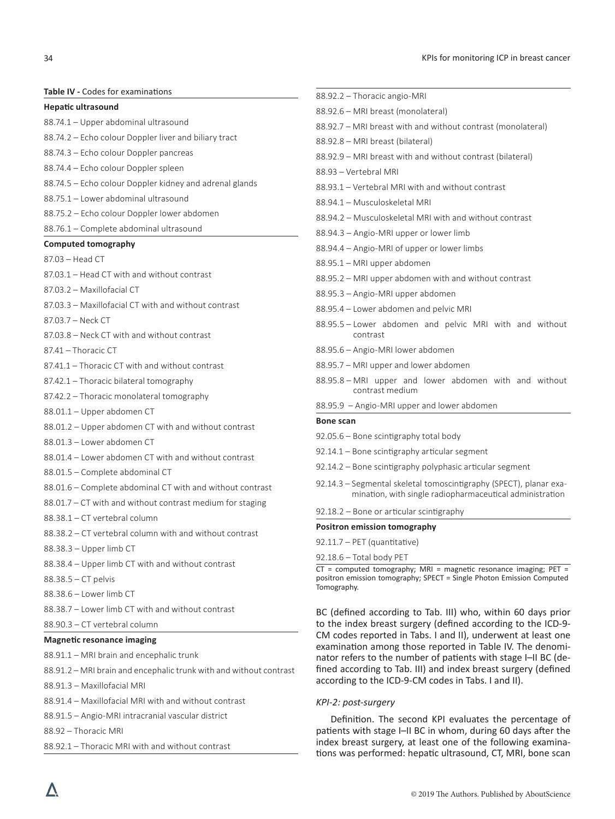**Table IV -** Codes for examinations

#### **Hepatic ultrasound**

- 88.74.1 Upper abdominal ultrasound
- 88.74.2 Echo colour Doppler liver and biliary tract
- 88.74.3 Echo colour Doppler pancreas
- 88.74.4 Echo colour Doppler spleen
- 88.74.5 Echo colour Doppler kidney and adrenal glands
- 88.75.1 Lower abdominal ultrasound
- 88.75.2 Echo colour Doppler lower abdomen
- 88.76.1 Complete abdominal ultrasound

#### **Computed tomography**

- 87.03 Head CT
- 87.03.1 Head CT with and without contrast
- 87.03.2 Maxillofacial CT
- 87.03.3 Maxillofacial CT with and without contrast
- 87.03.7 Neck CT
- 87.03.8 Neck CT with and without contrast
- 87.41 Thoracic CT
- 87.41.1 Thoracic CT with and without contrast
- 87.42.1 Thoracic bilateral tomography
- 87.42.2 Thoracic monolateral tomography
- 88.01.1 Upper abdomen CT
- 88.01.2 Upper abdomen CT with and without contrast
- 88.01.3 Lower abdomen CT
- 88.01.4 Lower abdomen CT with and without contrast
- 88.01.5 Complete abdominal CT
- 88.01.6 Complete abdominal CT with and without contrast
- 88.01.7 CT with and without contrast medium for staging
- 88.38.1 CT vertebral column
- 88.38.2 CT vertebral column with and without contrast
- 88.38.3 Upper limb CT
- 88.38.4 Upper limb CT with and without contrast
- 88.38.5 CT pelvis
- 88.38.6 Lower limb CT
- 88.38.7 Lower limb CT with and without contrast
- 88.90.3 CT vertebral column

## **Magnetic resonance imaging**

- 88.91.1 MRI brain and encephalic trunk
- 88.91.2 MRI brain and encephalic trunk with and without contrast
- 88.91.3 Maxillofacial MRI
- 88.91.4 Maxillofacial MRI with and without contrast
- 88.91.5 Angio-MRI intracranial vascular district
- 88.92 Thoracic MRI
- 88.92.1 Thoracic MRI with and without contrast

| 88.92.6 – MRI breast (monolateral)                                                                                             |
|--------------------------------------------------------------------------------------------------------------------------------|
| 88.92.7 - MRI breast with and without contrast (monolateral)                                                                   |
| 88.92.8 - MRI breast (bilateral)                                                                                               |
| 88.92.9 - MRI breast with and without contrast (bilateral)                                                                     |
| 88.93 - Vertebral MRI                                                                                                          |
| 88.93.1 - Vertebral MRI with and without contrast                                                                              |
| 88.94.1 - Musculoskeletal MRI                                                                                                  |
| 88.94.2 - Musculoskeletal MRI with and without contrast                                                                        |
| 88.94.3 - Angio-MRI upper or lower limb                                                                                        |
| 88.94.4 – Angio-MRI of upper or lower limbs                                                                                    |
| 88.95.1 - MRI upper abdomen                                                                                                    |
| 88.95.2 - MRI upper abdomen with and without contrast                                                                          |
| 88.95.3 - Angio-MRI upper abdomen                                                                                              |
| 88.95.4 - Lower abdomen and pelvic MRI                                                                                         |
| 88.95.5 - Lower abdomen and pelvic MRI with and without<br>contrast                                                            |
| 88.95.6 – Angio-MRI lower abdomen                                                                                              |
| 88.95.7 - MRI upper and lower abdomen                                                                                          |
| 88.95.8 - MRI upper and lower abdomen with and without<br>contrast medium                                                      |
| 88.95.9 - Angio-MRI upper and lower abdomen                                                                                    |
| <b>Bone scan</b>                                                                                                               |
| 92.05.6 - Bone scintigraphy total body                                                                                         |
| 92.14.1 - Bone scintigraphy articular segment                                                                                  |
| 92.14.2 - Bone scintigraphy polyphasic articular segment                                                                       |
| 92.14.3 – Segmental skeletal tomoscintigraphy (SPECT), planar exa-<br>mination, with single radiopharmaceutical administration |

#### 92.18.2 – Bone or articular scintigraphy

**Positron emission tomography**

88.92.2 – Thoracic angio-MRI

- 92.11.7 PET (quantitative)
- 92.18.6 Total body PET

 $CT$  = computed tomography; MRI = magnetic resonance imaging; PET = positron emission tomography; SPECT = Single Photon Emission Computed Tomography.

BC (defined according to Tab. III) who, within 60 days prior to the index breast surgery (defined according to the ICD-9- CM codes reported in Tabs. I and II), underwent at least one examination among those reported in Table IV. The denominator refers to the number of patients with stage I–II BC (defined according to Tab. III) and index breast surgery (defined according to the ICD-9-CM codes in Tabs. I and II).

### *KPI-2: post-surgery*

Definition. The second KPI evaluates the percentage of patients with stage I–II BC in whom, during 60 days after the index breast surgery, at least one of the following examinations was performed: hepatic ultrasound, CT, MRI, bone scan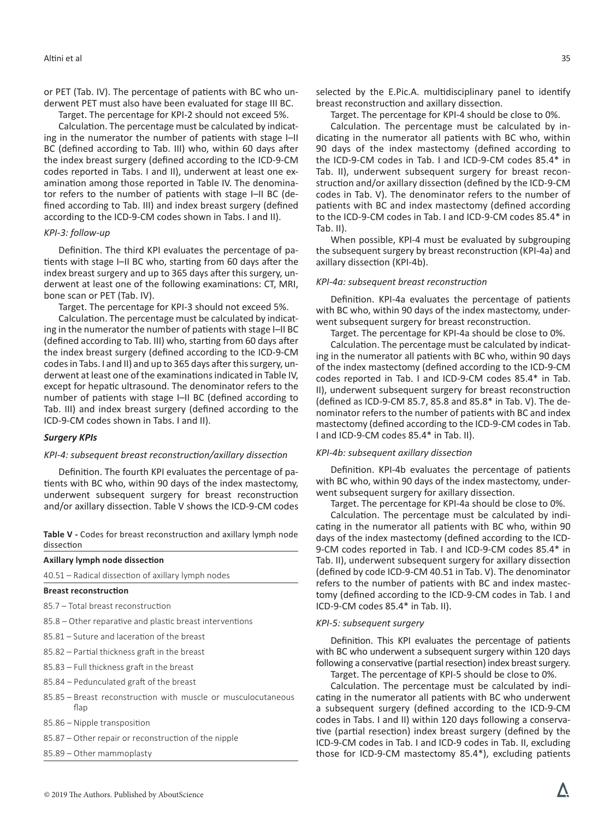or PET (Tab. IV). The percentage of patients with BC who underwent PET must also have been evaluated for stage III BC.

Target. The percentage for KPI-2 should not exceed 5%.

Calculation. The percentage must be calculated by indicating in the numerator the number of patients with stage I–II BC (defined according to Tab. III) who, within 60 days after the index breast surgery (defined according to the ICD-9-CM codes reported in Tabs. I and II), underwent at least one examination among those reported in Table IV. The denominator refers to the number of patients with stage I–II BC (defined according to Tab. III) and index breast surgery (defined according to the ICD-9-CM codes shown in Tabs. I and II).

#### *KPI-3: follow-up*

Definition. The third KPI evaluates the percentage of patients with stage I–II BC who, starting from 60 days after the index breast surgery and up to 365 days after this surgery, underwent at least one of the following examinations: CT, MRI, bone scan or PET (Tab. IV).

Target. The percentage for KPI-3 should not exceed 5%.

Calculation. The percentage must be calculated by indicating in the numerator the number of patients with stage I–II BC (defined according to Tab. III) who, starting from 60 days after the index breast surgery (defined according to the ICD-9-CM codes in Tabs. I and II) and up to 365 days after this surgery, underwent at least one of the examinations indicated in Table IV, except for hepatic ultrasound. The denominator refers to the number of patients with stage I–II BC (defined according to Tab. III) and index breast surgery (defined according to the ICD-9-CM codes shown in Tabs. I and II).

#### *Surgery KPIs*

#### *KPI-4: subsequent breast reconstruction/axillary dissection*

Definition. The fourth KPI evaluates the percentage of patients with BC who, within 90 days of the index mastectomy, underwent subsequent surgery for breast reconstruction and/or axillary dissection. Table V shows the ICD-9-CM codes

**Table V -** Codes for breast reconstruction and axillary lymph node dissection

| Axillary lymph node dissection                                        |  |  |
|-----------------------------------------------------------------------|--|--|
| 40.51 – Radical dissection of axillary lymph nodes                    |  |  |
| <b>Breast reconstruction</b>                                          |  |  |
| 85.7 – Total breast reconstruction                                    |  |  |
| 85.8 – Other reparative and plastic breast interventions              |  |  |
| 85.81 – Suture and laceration of the breast                           |  |  |
| 85.82 – Partial thickness graft in the breast                         |  |  |
| 85.83 – Full thickness graft in the breast                            |  |  |
| 85.84 – Pedunculated graft of the breast                              |  |  |
| 85.85 – Breast reconstruction with muscle or musculocutaneous<br>flap |  |  |
| 85.86 – Nipple transposition                                          |  |  |
| 85.87 – Other repair or reconstruction of the nipple                  |  |  |

85.89 – Other mammoplasty

selected by the E.Pic.A. multidisciplinary panel to identify breast reconstruction and axillary dissection.

Target. The percentage for KPI-4 should be close to 0%. Calculation. The percentage must be calculated by indicating in the numerator all patients with BC who, within 90 days of the index mastectomy (defined according to the ICD-9-CM codes in Tab. I and ICD-9-CM codes 85.4\* in Tab. II), underwent subsequent surgery for breast reconstruction and/or axillary dissection (defined by the ICD-9-CM codes in Tab. V). The denominator refers to the number of patients with BC and index mastectomy (defined according to the ICD-9-CM codes in Tab. I and ICD-9-CM codes 85.4\* in Tab. II).

When possible, KPI-4 must be evaluated by subgrouping the subsequent surgery by breast reconstruction (KPI-4a) and axillary dissection (KPI-4b).

#### *KPI-4a: subsequent breast reconstruction*

Definition. KPI-4a evaluates the percentage of patients with BC who, within 90 days of the index mastectomy, underwent subsequent surgery for breast reconstruction.

Target. The percentage for KPI-4a should be close to 0%.

Calculation. The percentage must be calculated by indicating in the numerator all patients with BC who, within 90 days of the index mastectomy (defined according to the ICD-9-CM codes reported in Tab. I and ICD-9-CM codes 85.4\* in Tab. II), underwent subsequent surgery for breast reconstruction (defined as ICD-9-CM 85.7, 85.8 and 85.8\* in Tab. V). The denominator refers to the number of patients with BC and index mastectomy (defined according to the ICD-9-CM codes in Tab. I and ICD-9-CM codes 85.4\* in Tab. II).

#### *KPI-4b: subsequent axillary dissection*

Definition. KPI-4b evaluates the percentage of patients with BC who, within 90 days of the index mastectomy, underwent subsequent surgery for axillary dissection.

Target. The percentage for KPI-4a should be close to 0%.

Calculation. The percentage must be calculated by indicating in the numerator all patients with BC who, within 90 days of the index mastectomy (defined according to the ICD-9-CM codes reported in Tab. I and ICD-9-CM codes 85.4\* in Tab. II), underwent subsequent surgery for axillary dissection (defined by code ICD-9-CM 40.51 in Tab. V). The denominator refers to the number of patients with BC and index mastectomy (defined according to the ICD-9-CM codes in Tab. I and ICD-9-CM codes 85.4\* in Tab. II).

#### *KPI-5: subsequent surgery*

Definition. This KPI evaluates the percentage of patients with BC who underwent a subsequent surgery within 120 days following a conservative (partial resection) index breast surgery.

Target. The percentage of KPI-5 should be close to 0%.

Calculation. The percentage must be calculated by indicating in the numerator all patients with BC who underwent a subsequent surgery (defined according to the ICD-9-CM codes in Tabs. I and II) within 120 days following a conservative (partial resection) index breast surgery (defined by the ICD-9-CM codes in Tab. I and ICD-9 codes in Tab. II, excluding those for ICD-9-CM mastectomy 85.4\*), excluding patients

Λ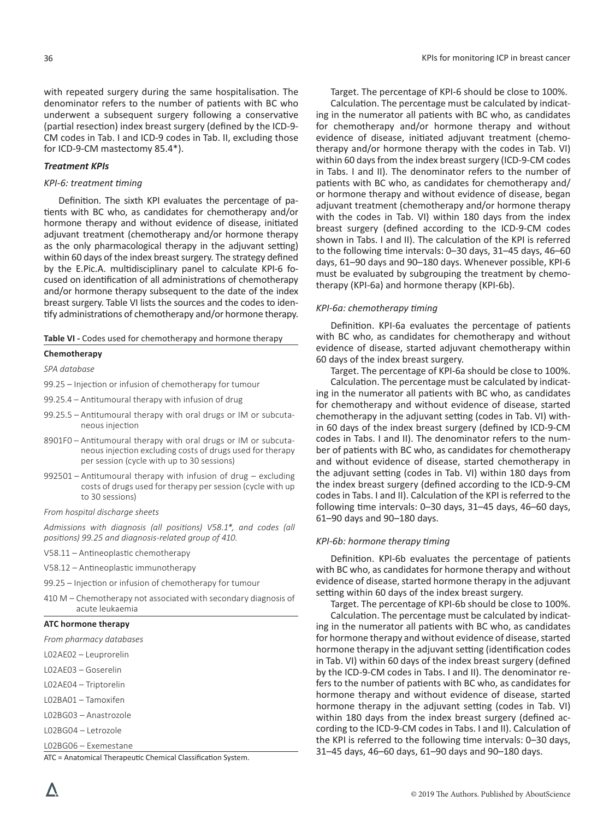with repeated surgery during the same hospitalisation. The denominator refers to the number of patients with BC who underwent a subsequent surgery following a conservative (partial resection) index breast surgery (defined by the ICD-9- CM codes in Tab. I and ICD-9 codes in Tab. II, excluding those for ICD-9-CM mastectomy 85.4\*).

## *Treatment KPIs*

## *KPI-6: treatment timing*

Definition. The sixth KPI evaluates the percentage of patients with BC who, as candidates for chemotherapy and/or hormone therapy and without evidence of disease, initiated adjuvant treatment (chemotherapy and/or hormone therapy as the only pharmacological therapy in the adjuvant setting) within 60 days of the index breast surgery. The strategy defined by the E.Pic.A. multidisciplinary panel to calculate KPI-6 focused on identification of all administrations of chemotherapy and/or hormone therapy subsequent to the date of the index breast surgery. Table VI lists the sources and the codes to identify administrations of chemotherapy and/or hormone therapy.

**Table VI -** Codes used for chemotherapy and hormone therapy

#### **Chemotherapy**

*SPA database*

99.25 – Injection or infusion of chemotherapy for tumour

- 99.25.4 Antitumoural therapy with infusion of drug
- 99.25.5 Antitumoural therapy with oral drugs or IM or subcutaneous injection
- 8901F0 Antitumoural therapy with oral drugs or IM or subcutaneous injection excluding costs of drugs used for therapy per session (cycle with up to 30 sessions)
- 992501 Antitumoural therapy with infusion of drug excluding costs of drugs used for therapy per session (cycle with up to 30 sessions)
- *From hospital discharge sheets*

*Admissions with diagnosis (all positions) V58.1\*, and codes (all positions) 99.25 and diagnosis-related group of 410.*

- V58.11 Antineoplastic chemotherapy
- V58.12 Antineoplastic immunotherapy
- 99.25 Injection or infusion of chemotherapy for tumour
- 410 M Chemotherapy not associated with secondary diagnosis of acute leukaemia

#### **ATC hormone therapy**

*From pharmacy databases*

- L02AE02 Leuprorelin
- L02AE03 Goserelin
- L02AE04 Triptorelin
- L02BA01 Tamoxifen
- L02BG03 Anastrozole
- L02BG04 Letrozole

L02BG06 – Exemestane

ATC = Anatomical Therapeutic Chemical Classification System.

Target. The percentage of KPI-6 should be close to 100%.

Calculation. The percentage must be calculated by indicating in the numerator all patients with BC who, as candidates for chemotherapy and/or hormone therapy and without evidence of disease, initiated adjuvant treatment (chemotherapy and/or hormone therapy with the codes in Tab. VI) within 60 days from the index breast surgery (ICD-9-CM codes in Tabs. I and II). The denominator refers to the number of patients with BC who, as candidates for chemotherapy and/ or hormone therapy and without evidence of disease, began adjuvant treatment (chemotherapy and/or hormone therapy with the codes in Tab. VI) within 180 days from the index breast surgery (defined according to the ICD-9-CM codes shown in Tabs. I and II). The calculation of the KPI is referred to the following time intervals: 0–30 days, 31–45 days, 46–60 days, 61–90 days and 90–180 days. Whenever possible, KPI-6 must be evaluated by subgrouping the treatment by chemotherapy (KPI-6a) and hormone therapy (KPI-6b).

#### *KPI-6a: chemotherapy timing*

Definition. KPI-6a evaluates the percentage of patients with BC who, as candidates for chemotherapy and without evidence of disease, started adjuvant chemotherapy within 60 days of the index breast surgery.

Target. The percentage of KPI-6a should be close to 100%. Calculation. The percentage must be calculated by indicating in the numerator all patients with BC who, as candidates for chemotherapy and without evidence of disease, started chemotherapy in the adjuvant setting (codes in Tab. VI) within 60 days of the index breast surgery (defined by ICD-9-CM codes in Tabs. I and II). The denominator refers to the number of patients with BC who, as candidates for chemotherapy and without evidence of disease, started chemotherapy in the adjuvant setting (codes in Tab. VI) within 180 days from the index breast surgery (defined according to the ICD-9-CM codes in Tabs. I and II). Calculation of the KPI is referred to the following time intervals: 0–30 days, 31–45 days, 46–60 days, 61–90 days and 90–180 days.

## *KPI-6b: hormone therapy timing*

Definition. KPI-6b evaluates the percentage of patients with BC who, as candidates for hormone therapy and without evidence of disease, started hormone therapy in the adjuvant setting within 60 days of the index breast surgery.

Target. The percentage of KPI-6b should be close to 100%. Calculation. The percentage must be calculated by indicating in the numerator all patients with BC who, as candidates for hormone therapy and without evidence of disease, started hormone therapy in the adjuvant setting (identification codes in Tab. VI) within 60 days of the index breast surgery (defined by the ICD-9-CM codes in Tabs. I and II). The denominator refers to the number of patients with BC who, as candidates for hormone therapy and without evidence of disease, started hormone therapy in the adjuvant setting (codes in Tab. VI) within 180 days from the index breast surgery (defined according to the ICD-9-CM codes in Tabs. I and II). Calculation of the KPI is referred to the following time intervals: 0–30 days, 31–45 days, 46–60 days, 61–90 days and 90–180 days.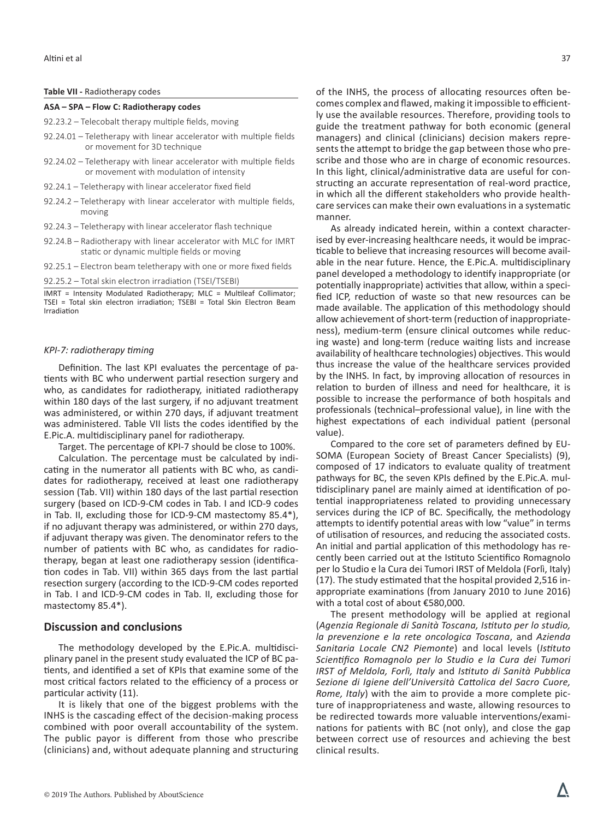#### **Table VII -** Radiotherapy codes

#### **ASA – SPA – Flow C: Radiotherapy codes**

92.23.2 – Telecobalt therapy multiple fields, moving

- 92.24.01 Teletherapy with linear accelerator with multiple fields or movement for 3D technique
- 92.24.02 Teletherapy with linear accelerator with multiple fields or movement with modulation of intensity
- 92.24.1 Teletherapy with linear accelerator fixed field
- 92.24.2 Teletherapy with linear accelerator with multiple fields, moving
- 92.24.3 Teletherapy with linear accelerator flash technique
- 92.24.B Radiotherapy with linear accelerator with MLC for IMRT static or dynamic multiple fields or moving
- 92.25.1 Electron beam teletherapy with one or more fixed fields

92.25.2 – Total skin electron irradiation (TSEI/TSEBI)

IMRT = Intensity Modulated Radiotherapy; MLC = Multileaf Collimator; TSEI = Total skin electron irradiation; TSEBI = Total Skin Electron Beam Irradiation

#### *KPI-7: radiotherapy timing*

Definition. The last KPI evaluates the percentage of patients with BC who underwent partial resection surgery and who, as candidates for radiotherapy, initiated radiotherapy within 180 days of the last surgery, if no adjuvant treatment was administered, or within 270 days, if adjuvant treatment was administered. Table VII lists the codes identified by the E.Pic.A. multidisciplinary panel for radiotherapy.

Target. The percentage of KPI-7 should be close to 100%.

Calculation. The percentage must be calculated by indicating in the numerator all patients with BC who, as candidates for radiotherapy, received at least one radiotherapy session (Tab. VII) within 180 days of the last partial resection surgery (based on ICD-9-CM codes in Tab. I and ICD-9 codes in Tab. II, excluding those for ICD-9-CM mastectomy 85.4\*), if no adjuvant therapy was administered, or within 270 days, if adjuvant therapy was given. The denominator refers to the number of patients with BC who, as candidates for radiotherapy, began at least one radiotherapy session (identification codes in Tab. VII) within 365 days from the last partial resection surgery (according to the ICD-9-CM codes reported in Tab. I and ICD-9-CM codes in Tab. II, excluding those for mastectomy 85.4\*).

## **Discussion and conclusions**

The methodology developed by the E.Pic.A. multidisciplinary panel in the present study evaluated the ICP of BC patients, and identified a set of KPIs that examine some of the most critical factors related to the efficiency of a process or particular activity (11).

It is likely that one of the biggest problems with the INHS is the cascading effect of the decision-making process combined with poor overall accountability of the system. The public payor is different from those who prescribe (clinicians) and, without adequate planning and structuring of the INHS, the process of allocating resources often becomes complex and flawed, making it impossible to efficiently use the available resources. Therefore, providing tools to guide the treatment pathway for both economic (general managers) and clinical (clinicians) decision makers represents the attempt to bridge the gap between those who prescribe and those who are in charge of economic resources. In this light, clinical/administrative data are useful for constructing an accurate representation of real-word practice, in which all the different stakeholders who provide healthcare services can make their own evaluations in a systematic manner.

As already indicated herein, within a context characterised by ever-increasing healthcare needs, it would be impracticable to believe that increasing resources will become available in the near future. Hence, the E.Pic.A. multidisciplinary panel developed a methodology to identify inappropriate (or potentially inappropriate) activities that allow, within a specified ICP, reduction of waste so that new resources can be made available. The application of this methodology should allow achievement of short-term (reduction of inappropriateness), medium-term (ensure clinical outcomes while reducing waste) and long-term (reduce waiting lists and increase availability of healthcare technologies) objectives. This would thus increase the value of the healthcare services provided by the INHS. In fact, by improving allocation of resources in relation to burden of illness and need for healthcare, it is possible to increase the performance of both hospitals and professionals (technical–professional value), in line with the highest expectations of each individual patient (personal value).

Compared to the core set of parameters defined by EU-SOMA (European Society of Breast Cancer Specialists) (9), composed of 17 indicators to evaluate quality of treatment pathways for BC, the seven KPIs defined by the E.Pic.A. multidisciplinary panel are mainly aimed at identification of potential inappropriateness related to providing unnecessary services during the ICP of BC. Specifically, the methodology attempts to identify potential areas with low "value" in terms of utilisation of resources, and reducing the associated costs. An initial and partial application of this methodology has recently been carried out at the Istituto Scientifico Romagnolo per lo Studio e la Cura dei Tumori IRST of Meldola (Forlì, Italy) (17). The study estimated that the hospital provided 2,516 inappropriate examinations (from January 2010 to June 2016) with a total cost of about €580,000.

The present methodology will be applied at regional (*Agenzia Regionale di Sanità Toscana, Istituto per lo studio, la prevenzione e la rete oncologica Toscana*, and *Azienda Sanitaria Locale CN2 Piemonte*) and local levels (*Istituto Scientifico Romagnolo per lo Studio e la Cura dei Tumori IRST of Meldola, Forlì, Italy* and *Istituto di Sanità Pubblica Sezione di Igiene dell'Università Cattolica del Sacro Cuore, Rome, Italy*) with the aim to provide a more complete picture of inappropriateness and waste, allowing resources to be redirected towards more valuable interventions/examinations for patients with BC (not only), and close the gap between correct use of resources and achieving the best clinical results.